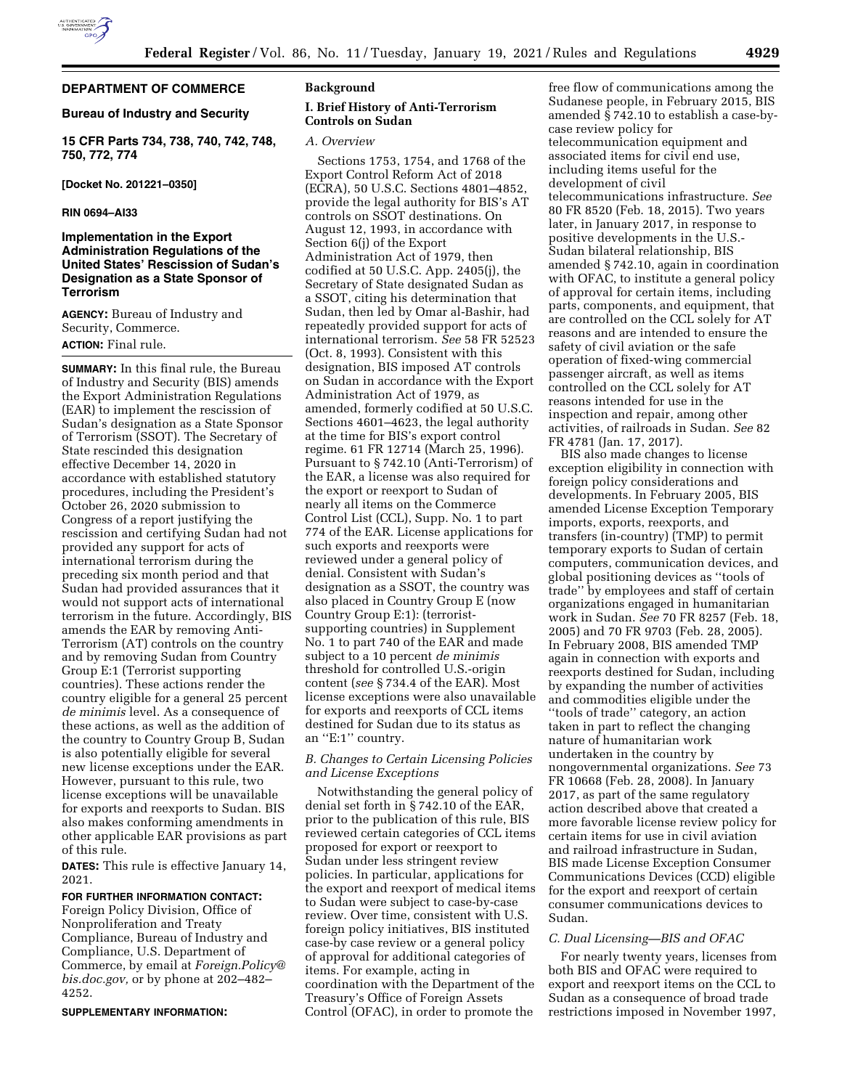

## **DEPARTMENT OF COMMERCE**

### **Bureau of Industry and Security**

**15 CFR Parts 734, 738, 740, 742, 748, 750, 772, 774** 

**[Docket No. 201221–0350]** 

### **RIN 0694–AI33**

## **Implementation in the Export Administration Regulations of the United States' Rescission of Sudan's Designation as a State Sponsor of Terrorism**

**AGENCY:** Bureau of Industry and Security, Commerce. **ACTION:** Final rule.

**SUMMARY:** In this final rule, the Bureau of Industry and Security (BIS) amends the Export Administration Regulations (EAR) to implement the rescission of Sudan's designation as a State Sponsor of Terrorism (SSOT). The Secretary of State rescinded this designation effective December 14, 2020 in accordance with established statutory procedures, including the President's October 26, 2020 submission to Congress of a report justifying the rescission and certifying Sudan had not provided any support for acts of international terrorism during the preceding six month period and that Sudan had provided assurances that it would not support acts of international terrorism in the future. Accordingly, BIS amends the EAR by removing Anti-Terrorism (AT) controls on the country and by removing Sudan from Country Group E:1 (Terrorist supporting countries). These actions render the country eligible for a general 25 percent *de minimis* level. As a consequence of these actions, as well as the addition of the country to Country Group B, Sudan is also potentially eligible for several new license exceptions under the EAR. However, pursuant to this rule, two license exceptions will be unavailable for exports and reexports to Sudan. BIS also makes conforming amendments in other applicable EAR provisions as part of this rule.

**DATES:** This rule is effective January 14, 2021.

#### **FOR FURTHER INFORMATION CONTACT:**

Foreign Policy Division, Office of Nonproliferation and Treaty Compliance, Bureau of Industry and Compliance, U.S. Department of Commerce, by email at *[Foreign.Policy@](mailto:Foreign.Policy@bis.doc.gov) [bis.doc.gov,](mailto:Foreign.Policy@bis.doc.gov)* or by phone at 202–482– 4252.

#### **SUPPLEMENTARY INFORMATION:**

## **Background**

### **I. Brief History of Anti-Terrorism Controls on Sudan**

#### *A. Overview*

Sections 1753, 1754, and 1768 of the Export Control Reform Act of 2018 (ECRA), 50 U.S.C. Sections 4801–4852, provide the legal authority for BIS's AT controls on SSOT destinations. On August 12, 1993, in accordance with Section 6(j) of the Export Administration Act of 1979, then codified at 50 U.S.C. App. 2405(j), the Secretary of State designated Sudan as a SSOT, citing his determination that Sudan, then led by Omar al-Bashir, had repeatedly provided support for acts of international terrorism. *See* 58 FR 52523 (Oct. 8, 1993). Consistent with this designation, BIS imposed AT controls on Sudan in accordance with the Export Administration Act of 1979, as amended, formerly codified at 50 U.S.C. Sections 4601–4623, the legal authority at the time for BIS's export control regime. 61 FR 12714 (March 25, 1996). Pursuant to § 742.10 (Anti-Terrorism) of the EAR, a license was also required for the export or reexport to Sudan of nearly all items on the Commerce Control List (CCL), Supp. No. 1 to part 774 of the EAR. License applications for such exports and reexports were reviewed under a general policy of denial. Consistent with Sudan's designation as a SSOT, the country was also placed in Country Group E (now Country Group E:1): (terroristsupporting countries) in Supplement No. 1 to part 740 of the EAR and made subject to a 10 percent *de minimis*  threshold for controlled U.S.-origin content (*see* § 734.4 of the EAR). Most license exceptions were also unavailable for exports and reexports of CCL items destined for Sudan due to its status as an ''E:1'' country.

### *B. Changes to Certain Licensing Policies and License Exceptions*

Notwithstanding the general policy of denial set forth in § 742.10 of the EAR, prior to the publication of this rule, BIS reviewed certain categories of CCL items proposed for export or reexport to Sudan under less stringent review policies. In particular, applications for the export and reexport of medical items to Sudan were subject to case-by-case review. Over time, consistent with U.S. foreign policy initiatives, BIS instituted case-by case review or a general policy of approval for additional categories of items. For example, acting in coordination with the Department of the Treasury's Office of Foreign Assets Control (OFAC), in order to promote the

free flow of communications among the Sudanese people, in February 2015, BIS amended § 742.10 to establish a case-bycase review policy for telecommunication equipment and associated items for civil end use, including items useful for the development of civil telecommunications infrastructure. *See*  80 FR 8520 (Feb. 18, 2015). Two years later, in January 2017, in response to positive developments in the U.S.- Sudan bilateral relationship, BIS amended § 742.10, again in coordination with OFAC, to institute a general policy of approval for certain items, including parts, components, and equipment, that are controlled on the CCL solely for AT reasons and are intended to ensure the safety of civil aviation or the safe operation of fixed-wing commercial passenger aircraft, as well as items controlled on the CCL solely for AT reasons intended for use in the inspection and repair, among other activities, of railroads in Sudan. *See* 82 FR 4781 (Jan. 17, 2017).

BIS also made changes to license exception eligibility in connection with foreign policy considerations and developments. In February 2005, BIS amended License Exception Temporary imports, exports, reexports, and transfers (in-country) (TMP) to permit temporary exports to Sudan of certain computers, communication devices, and global positioning devices as ''tools of trade'' by employees and staff of certain organizations engaged in humanitarian work in Sudan. *See* 70 FR 8257 (Feb. 18, 2005) and 70 FR 9703 (Feb. 28, 2005). In February 2008, BIS amended TMP again in connection with exports and reexports destined for Sudan, including by expanding the number of activities and commodities eligible under the ''tools of trade'' category, an action taken in part to reflect the changing nature of humanitarian work undertaken in the country by nongovernmental organizations. *See* 73 FR 10668 (Feb. 28, 2008). In January 2017, as part of the same regulatory action described above that created a more favorable license review policy for certain items for use in civil aviation and railroad infrastructure in Sudan, BIS made License Exception Consumer Communications Devices (CCD) eligible for the export and reexport of certain consumer communications devices to Sudan.

#### *C. Dual Licensing—BIS and OFAC*

For nearly twenty years, licenses from both BIS and OFAC were required to export and reexport items on the CCL to Sudan as a consequence of broad trade restrictions imposed in November 1997,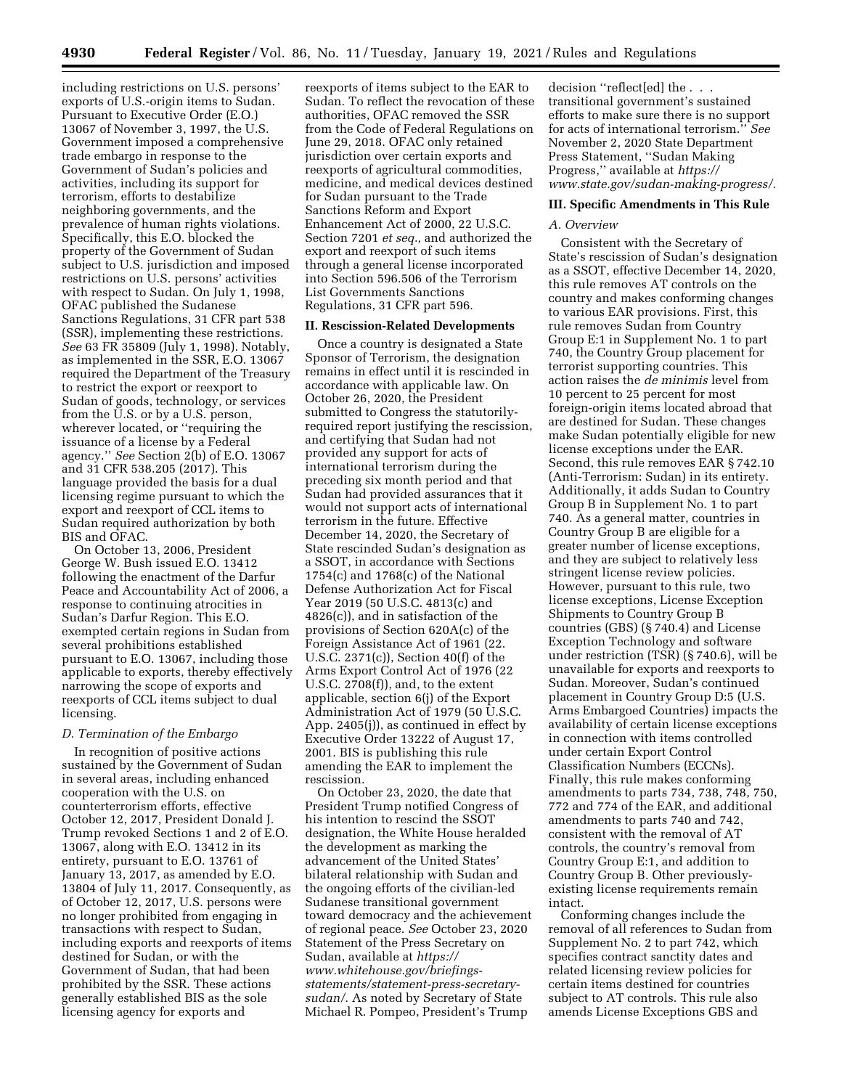including restrictions on U.S. persons' exports of U.S.-origin items to Sudan. Pursuant to Executive Order (E.O.) 13067 of November 3, 1997, the U.S. Government imposed a comprehensive trade embargo in response to the Government of Sudan's policies and activities, including its support for terrorism, efforts to destabilize neighboring governments, and the prevalence of human rights violations. Specifically, this E.O. blocked the property of the Government of Sudan subject to U.S. jurisdiction and imposed restrictions on U.S. persons' activities with respect to Sudan. On July 1, 1998, OFAC published the Sudanese Sanctions Regulations, 31 CFR part 538 (SSR), implementing these restrictions. *See* 63 FR 35809 (July 1, 1998). Notably, as implemented in the SSR, E.O. 13067 required the Department of the Treasury to restrict the export or reexport to Sudan of goods, technology, or services from the U.S. or by a U.S. person, wherever located, or ''requiring the issuance of a license by a Federal agency.'' *See* Section 2(b) of E.O. 13067 and 31 CFR 538.205 (2017). This language provided the basis for a dual licensing regime pursuant to which the export and reexport of CCL items to Sudan required authorization by both BIS and OFAC.

On October 13, 2006, President George W. Bush issued E.O. 13412 following the enactment of the Darfur Peace and Accountability Act of 2006, a response to continuing atrocities in Sudan's Darfur Region. This E.O. exempted certain regions in Sudan from several prohibitions established pursuant to E.O. 13067, including those applicable to exports, thereby effectively narrowing the scope of exports and reexports of CCL items subject to dual licensing.

#### *D. Termination of the Embargo*

In recognition of positive actions sustained by the Government of Sudan in several areas, including enhanced cooperation with the U.S. on counterterrorism efforts, effective October 12, 2017, President Donald J. Trump revoked Sections 1 and 2 of E.O. 13067, along with E.O. 13412 in its entirety, pursuant to E.O. 13761 of January 13, 2017, as amended by E.O. 13804 of July 11, 2017. Consequently, as of October 12, 2017, U.S. persons were no longer prohibited from engaging in transactions with respect to Sudan, including exports and reexports of items destined for Sudan, or with the Government of Sudan, that had been prohibited by the SSR. These actions generally established BIS as the sole licensing agency for exports and

reexports of items subject to the EAR to Sudan. To reflect the revocation of these authorities, OFAC removed the SSR from the Code of Federal Regulations on June 29, 2018. OFAC only retained jurisdiction over certain exports and reexports of agricultural commodities, medicine, and medical devices destined for Sudan pursuant to the Trade Sanctions Reform and Export Enhancement Act of 2000, 22 U.S.C. Section 7201 *et seq.,* and authorized the export and reexport of such items through a general license incorporated into Section 596.506 of the Terrorism List Governments Sanctions Regulations, 31 CFR part 596.

### **II. Rescission-Related Developments**

Once a country is designated a State Sponsor of Terrorism, the designation remains in effect until it is rescinded in accordance with applicable law. On October 26, 2020, the President submitted to Congress the statutorilyrequired report justifying the rescission, and certifying that Sudan had not provided any support for acts of international terrorism during the preceding six month period and that Sudan had provided assurances that it would not support acts of international terrorism in the future. Effective December 14, 2020, the Secretary of State rescinded Sudan's designation as a SSOT, in accordance with Sections 1754(c) and 1768(c) of the National Defense Authorization Act for Fiscal Year 2019 (50 U.S.C. 4813(c) and 4826(c)), and in satisfaction of the provisions of Section 620A(c) of the Foreign Assistance Act of 1961 (22. U.S.C. 2371(c)), Section 40(f) of the Arms Export Control Act of 1976 (22 U.S.C. 2708(f)), and, to the extent applicable, section 6(j) of the Export Administration Act of 1979 (50 U.S.C. App. 2405(j)), as continued in effect by Executive Order 13222 of August 17, 2001. BIS is publishing this rule amending the EAR to implement the rescission.

On October 23, 2020, the date that President Trump notified Congress of his intention to rescind the SSOT designation, the White House heralded the development as marking the advancement of the United States' bilateral relationship with Sudan and the ongoing efforts of the civilian-led Sudanese transitional government toward democracy and the achievement of regional peace. *See* October 23, 2020 Statement of the Press Secretary on Sudan, available at *[https://](https://www.whitehouse.gov/briefings-statements/statement-press-secretary-sudan/) [www.whitehouse.gov/briefings](https://www.whitehouse.gov/briefings-statements/statement-press-secretary-sudan/)[statements/statement-press-secretary](https://www.whitehouse.gov/briefings-statements/statement-press-secretary-sudan/)[sudan/.](https://www.whitehouse.gov/briefings-statements/statement-press-secretary-sudan/)* As noted by Secretary of State Michael R. Pompeo, President's Trump

decision ''reflect[ed] the . . . transitional government's sustained efforts to make sure there is no support for acts of international terrorism.'' *See*  November 2, 2020 State Department Press Statement, ''Sudan Making Progress,'' available at *[https://](https://www.state.gov/sudan-making-progress/) [www.state.gov/sudan-making-progress/.](https://www.state.gov/sudan-making-progress/)* 

#### **III. Specific Amendments in This Rule**

#### *A. Overview*

Consistent with the Secretary of State's rescission of Sudan's designation as a SSOT, effective December 14, 2020, this rule removes AT controls on the country and makes conforming changes to various EAR provisions. First, this rule removes Sudan from Country Group E:1 in Supplement No. 1 to part 740, the Country Group placement for terrorist supporting countries. This action raises the *de minimis* level from 10 percent to 25 percent for most foreign-origin items located abroad that are destined for Sudan. These changes make Sudan potentially eligible for new license exceptions under the EAR. Second, this rule removes EAR § 742.10 (Anti-Terrorism: Sudan) in its entirety. Additionally, it adds Sudan to Country Group B in Supplement No. 1 to part 740. As a general matter, countries in Country Group B are eligible for a greater number of license exceptions, and they are subject to relatively less stringent license review policies. However, pursuant to this rule, two license exceptions, License Exception Shipments to Country Group B countries (GBS) (§ 740.4) and License Exception Technology and software under restriction (TSR) (§ 740.6), will be unavailable for exports and reexports to Sudan. Moreover, Sudan's continued placement in Country Group D:5 (U.S. Arms Embargoed Countries) impacts the availability of certain license exceptions in connection with items controlled under certain Export Control Classification Numbers (ECCNs). Finally, this rule makes conforming amendments to parts 734, 738, 748, 750, 772 and 774 of the EAR, and additional amendments to parts 740 and 742, consistent with the removal of AT controls, the country's removal from Country Group E:1, and addition to Country Group B. Other previouslyexisting license requirements remain intact.

Conforming changes include the removal of all references to Sudan from Supplement No. 2 to part 742, which specifies contract sanctity dates and related licensing review policies for certain items destined for countries subject to AT controls. This rule also amends License Exceptions GBS and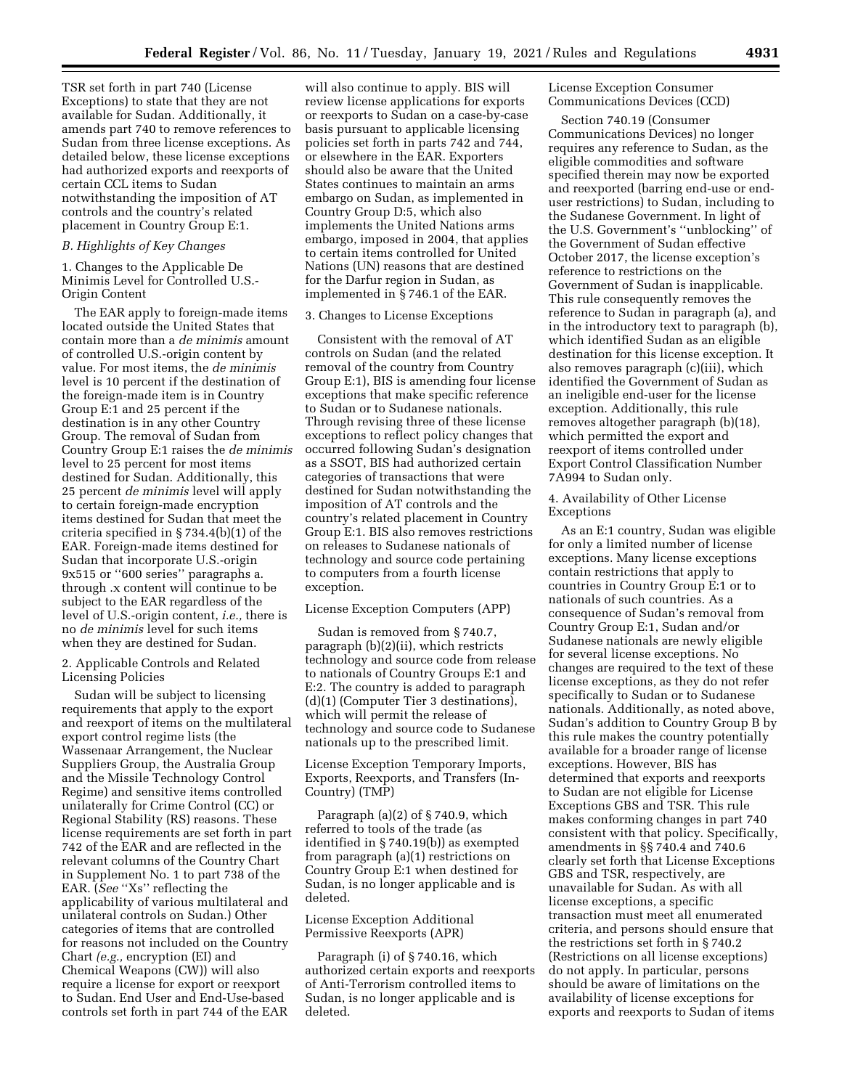TSR set forth in part 740 (License Exceptions) to state that they are not available for Sudan. Additionally, it amends part 740 to remove references to Sudan from three license exceptions. As detailed below, these license exceptions had authorized exports and reexports of certain CCL items to Sudan notwithstanding the imposition of AT controls and the country's related placement in Country Group E:1.

#### *B. Highlights of Key Changes*

1. Changes to the Applicable De Minimis Level for Controlled U.S.- Origin Content

The EAR apply to foreign-made items located outside the United States that contain more than a *de minimis* amount of controlled U.S.-origin content by value. For most items, the *de minimis*  level is 10 percent if the destination of the foreign-made item is in Country Group E:1 and 25 percent if the destination is in any other Country Group. The removal of Sudan from Country Group E:1 raises the *de minimis*  level to 25 percent for most items destined for Sudan. Additionally, this 25 percent *de minimis* level will apply to certain foreign-made encryption items destined for Sudan that meet the criteria specified in § 734.4(b)(1) of the EAR. Foreign-made items destined for Sudan that incorporate U.S.-origin 9x515 or ''600 series'' paragraphs a. through .x content will continue to be subject to the EAR regardless of the level of U.S.-origin content, *i.e.,* there is no *de minimis* level for such items when they are destined for Sudan.

2. Applicable Controls and Related Licensing Policies

Sudan will be subject to licensing requirements that apply to the export and reexport of items on the multilateral export control regime lists (the Wassenaar Arrangement, the Nuclear Suppliers Group, the Australia Group and the Missile Technology Control Regime) and sensitive items controlled unilaterally for Crime Control (CC) or Regional Stability (RS) reasons. These license requirements are set forth in part 742 of the EAR and are reflected in the relevant columns of the Country Chart in Supplement No. 1 to part 738 of the EAR. (*See* ''Xs'' reflecting the applicability of various multilateral and unilateral controls on Sudan.) Other categories of items that are controlled for reasons not included on the Country Chart *(e.g.,* encryption (EI) and Chemical Weapons (CW)) will also require a license for export or reexport to Sudan. End User and End-Use-based controls set forth in part 744 of the EAR

will also continue to apply. BIS will review license applications for exports or reexports to Sudan on a case-by-case basis pursuant to applicable licensing policies set forth in parts 742 and 744, or elsewhere in the EAR. Exporters should also be aware that the United States continues to maintain an arms embargo on Sudan, as implemented in Country Group D:5, which also implements the United Nations arms embargo, imposed in 2004, that applies to certain items controlled for United Nations (UN) reasons that are destined for the Darfur region in Sudan, as implemented in § 746.1 of the EAR.

### 3. Changes to License Exceptions

Consistent with the removal of AT controls on Sudan (and the related removal of the country from Country Group E:1), BIS is amending four license exceptions that make specific reference to Sudan or to Sudanese nationals. Through revising three of these license exceptions to reflect policy changes that occurred following Sudan's designation as a SSOT, BIS had authorized certain categories of transactions that were destined for Sudan notwithstanding the imposition of AT controls and the country's related placement in Country Group E:1. BIS also removes restrictions on releases to Sudanese nationals of technology and source code pertaining to computers from a fourth license exception.

#### License Exception Computers (APP)

Sudan is removed from § 740.7, paragraph (b)(2)(ii), which restricts technology and source code from release to nationals of Country Groups E:1 and E:2. The country is added to paragraph (d)(1) (Computer Tier 3 destinations), which will permit the release of technology and source code to Sudanese nationals up to the prescribed limit.

## License Exception Temporary Imports, Exports, Reexports, and Transfers (In-Country) (TMP)

Paragraph (a)(2) of § 740.9, which referred to tools of the trade (as identified in § 740.19(b)) as exempted from paragraph (a)(1) restrictions on Country Group E:1 when destined for Sudan, is no longer applicable and is deleted.

### License Exception Additional Permissive Reexports (APR)

Paragraph (i) of § 740.16, which authorized certain exports and reexports of Anti-Terrorism controlled items to Sudan, is no longer applicable and is deleted.

## License Exception Consumer Communications Devices (CCD)

Section 740.19 (Consumer Communications Devices) no longer requires any reference to Sudan, as the eligible commodities and software specified therein may now be exported and reexported (barring end-use or enduser restrictions) to Sudan, including to the Sudanese Government. In light of the U.S. Government's ''unblocking'' of the Government of Sudan effective October 2017, the license exception's reference to restrictions on the Government of Sudan is inapplicable. This rule consequently removes the reference to Sudan in paragraph (a), and in the introductory text to paragraph (b), which identified Sudan as an eligible destination for this license exception. It also removes paragraph (c)(iii), which identified the Government of Sudan as an ineligible end-user for the license exception. Additionally, this rule removes altogether paragraph (b)(18), which permitted the export and reexport of items controlled under Export Control Classification Number 7A994 to Sudan only.

### 4. Availability of Other License Exceptions

As an E:1 country, Sudan was eligible for only a limited number of license exceptions. Many license exceptions contain restrictions that apply to countries in Country Group E:1 or to nationals of such countries. As a consequence of Sudan's removal from Country Group E:1, Sudan and/or Sudanese nationals are newly eligible for several license exceptions. No changes are required to the text of these license exceptions, as they do not refer specifically to Sudan or to Sudanese nationals. Additionally, as noted above, Sudan's addition to Country Group B by this rule makes the country potentially available for a broader range of license exceptions. However, BIS has determined that exports and reexports to Sudan are not eligible for License Exceptions GBS and TSR. This rule makes conforming changes in part 740 consistent with that policy. Specifically, amendments in §§ 740.4 and 740.6 clearly set forth that License Exceptions GBS and TSR, respectively, are unavailable for Sudan. As with all license exceptions, a specific transaction must meet all enumerated criteria, and persons should ensure that the restrictions set forth in § 740.2 (Restrictions on all license exceptions) do not apply. In particular, persons should be aware of limitations on the availability of license exceptions for exports and reexports to Sudan of items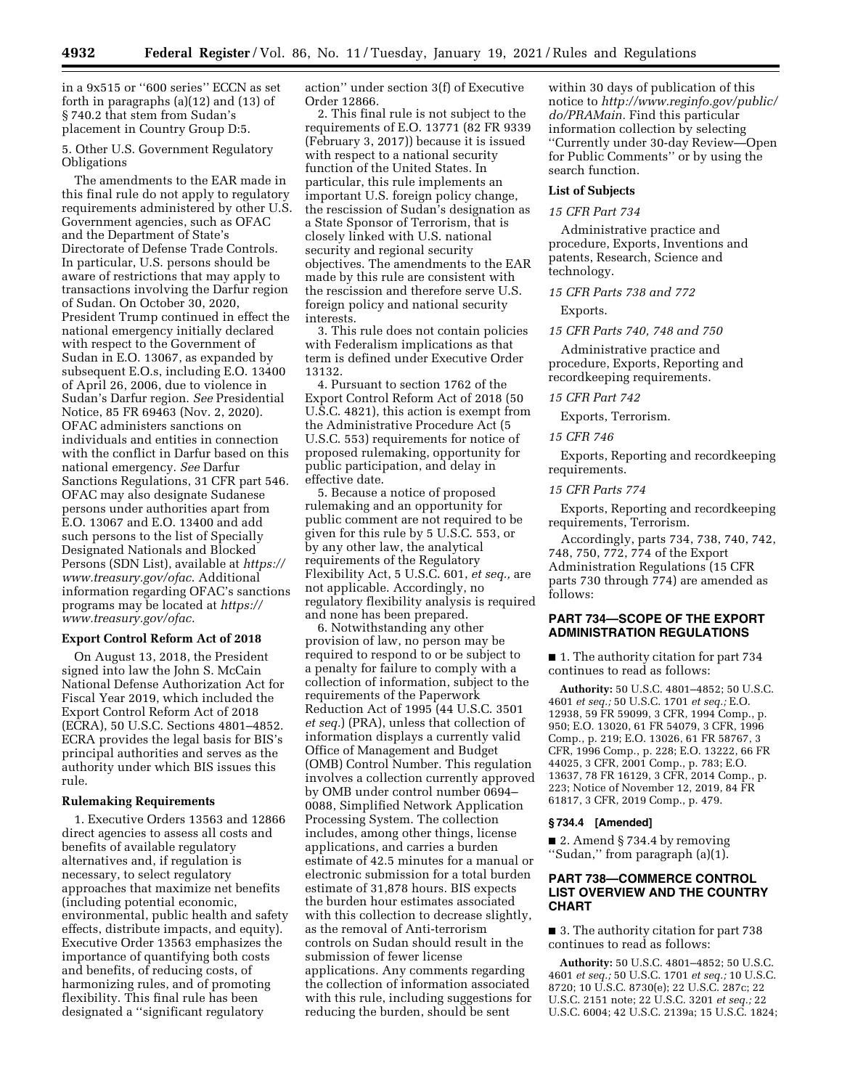in a 9x515 or ''600 series'' ECCN as set forth in paragraphs (a)(12) and (13) of § 740.2 that stem from Sudan's placement in Country Group D:5.

5. Other U.S. Government Regulatory Obligations

The amendments to the EAR made in this final rule do not apply to regulatory requirements administered by other U.S. Government agencies, such as OFAC and the Department of State's Directorate of Defense Trade Controls. In particular, U.S. persons should be aware of restrictions that may apply to transactions involving the Darfur region of Sudan. On October 30, 2020, President Trump continued in effect the national emergency initially declared with respect to the Government of Sudan in E.O. 13067, as expanded by subsequent E.O.s, including E.O. 13400 of April 26, 2006, due to violence in Sudan's Darfur region. *See* Presidential Notice, 85 FR 69463 (Nov. 2, 2020). OFAC administers sanctions on individuals and entities in connection with the conflict in Darfur based on this national emergency. *See* Darfur Sanctions Regulations, 31 CFR part 546. OFAC may also designate Sudanese persons under authorities apart from E.O. 13067 and E.O. 13400 and add such persons to the list of Specially Designated Nationals and Blocked Persons (SDN List), available at *[https://](https://www.treasury.gov/ofac) [www.treasury.gov/ofac](https://www.treasury.gov/ofac)*. Additional information regarding OFAC's sanctions programs may be located at *[https://](https://www.treasury.gov/ofac) [www.treasury.gov/ofac.](https://www.treasury.gov/ofac)* 

#### **Export Control Reform Act of 2018**

On August 13, 2018, the President signed into law the John S. McCain National Defense Authorization Act for Fiscal Year 2019, which included the Export Control Reform Act of 2018 (ECRA), 50 U.S.C. Sections 4801–4852. ECRA provides the legal basis for BIS's principal authorities and serves as the authority under which BIS issues this rule.

### **Rulemaking Requirements**

1. Executive Orders 13563 and 12866 direct agencies to assess all costs and benefits of available regulatory alternatives and, if regulation is necessary, to select regulatory approaches that maximize net benefits (including potential economic, environmental, public health and safety effects, distribute impacts, and equity). Executive Order 13563 emphasizes the importance of quantifying both costs and benefits, of reducing costs, of harmonizing rules, and of promoting flexibility. This final rule has been designated a ''significant regulatory

action'' under section 3(f) of Executive Order 12866.

2. This final rule is not subject to the requirements of E.O. 13771 (82 FR 9339 (February 3, 2017)) because it is issued with respect to a national security function of the United States. In particular, this rule implements an important U.S. foreign policy change, the rescission of Sudan's designation as a State Sponsor of Terrorism, that is closely linked with U.S. national security and regional security objectives. The amendments to the EAR made by this rule are consistent with the rescission and therefore serve U.S. foreign policy and national security interests.

3. This rule does not contain policies with Federalism implications as that term is defined under Executive Order 13132.

4. Pursuant to section 1762 of the Export Control Reform Act of 2018 (50 U.S.C. 4821), this action is exempt from the Administrative Procedure Act (5 U.S.C. 553) requirements for notice of proposed rulemaking, opportunity for public participation, and delay in effective date.

5. Because a notice of proposed rulemaking and an opportunity for public comment are not required to be given for this rule by 5 U.S.C. 553, or by any other law, the analytical requirements of the Regulatory Flexibility Act, 5 U.S.C. 601, *et seq.,* are not applicable. Accordingly, no regulatory flexibility analysis is required and none has been prepared.

6. Notwithstanding any other provision of law, no person may be required to respond to or be subject to a penalty for failure to comply with a collection of information, subject to the requirements of the Paperwork Reduction Act of 1995 (44 U.S.C. 3501 *et seq.*) (PRA), unless that collection of information displays a currently valid Office of Management and Budget (OMB) Control Number. This regulation involves a collection currently approved by OMB under control number 0694– 0088, Simplified Network Application Processing System. The collection includes, among other things, license applications, and carries a burden estimate of 42.5 minutes for a manual or electronic submission for a total burden estimate of 31,878 hours. BIS expects the burden hour estimates associated with this collection to decrease slightly, as the removal of Anti-terrorism controls on Sudan should result in the submission of fewer license applications. Any comments regarding the collection of information associated with this rule, including suggestions for reducing the burden, should be sent

within 30 days of publication of this notice to *[http://www.reginfo.gov/public/](http://www.reginfo.gov/public/do/PRAMain)  [do/PRAMain.](http://www.reginfo.gov/public/do/PRAMain)* Find this particular information collection by selecting ''Currently under 30-day Review—Open for Public Comments'' or by using the search function.

#### **List of Subjects**

### *15 CFR Part 734*

Administrative practice and procedure, Exports, Inventions and patents, Research, Science and technology.

## *15 CFR Parts 738 and 772*

#### Exports.

#### *15 CFR Parts 740, 748 and 750*

Administrative practice and procedure, Exports, Reporting and recordkeeping requirements.

#### *15 CFR Part 742*

Exports, Terrorism.

### *15 CFR 746*

Exports, Reporting and recordkeeping requirements.

### *15 CFR Parts 774*

Exports, Reporting and recordkeeping requirements, Terrorism.

Accordingly, parts 734, 738, 740, 742, 748, 750, 772, 774 of the Export Administration Regulations (15 CFR parts 730 through 774) are amended as follows:

## **PART 734—SCOPE OF THE EXPORT ADMINISTRATION REGULATIONS**

■ 1. The authority citation for part 734 continues to read as follows:

**Authority:** 50 U.S.C. 4801–4852; 50 U.S.C. 4601 *et seq.;* 50 U.S.C. 1701 *et seq.;* E.O. 12938, 59 FR 59099, 3 CFR, 1994 Comp., p. 950; E.O. 13020, 61 FR 54079, 3 CFR, 1996 Comp., p. 219; E.O. 13026, 61 FR 58767, 3 CFR, 1996 Comp., p. 228; E.O. 13222, 66 FR 44025, 3 CFR, 2001 Comp., p. 783; E.O. 13637, 78 FR 16129, 3 CFR, 2014 Comp., p. 223; Notice of November 12, 2019, 84 FR 61817, 3 CFR, 2019 Comp., p. 479.

#### **§ 734.4 [Amended]**

■ 2. Amend § 734.4 by removing ''Sudan,'' from paragraph (a)(1).

### **PART 738—COMMERCE CONTROL LIST OVERVIEW AND THE COUNTRY CHART**

■ 3. The authority citation for part 738 continues to read as follows:

**Authority:** 50 U.S.C. 4801–4852; 50 U.S.C. 4601 *et seq.;* 50 U.S.C. 1701 *et seq.;* 10 U.S.C. 8720; 10 U.S.C. 8730(e); 22 U.S.C. 287c; 22 U.S.C. 2151 note; 22 U.S.C. 3201 *et seq.;* 22 U.S.C. 6004; 42 U.S.C. 2139a; 15 U.S.C. 1824;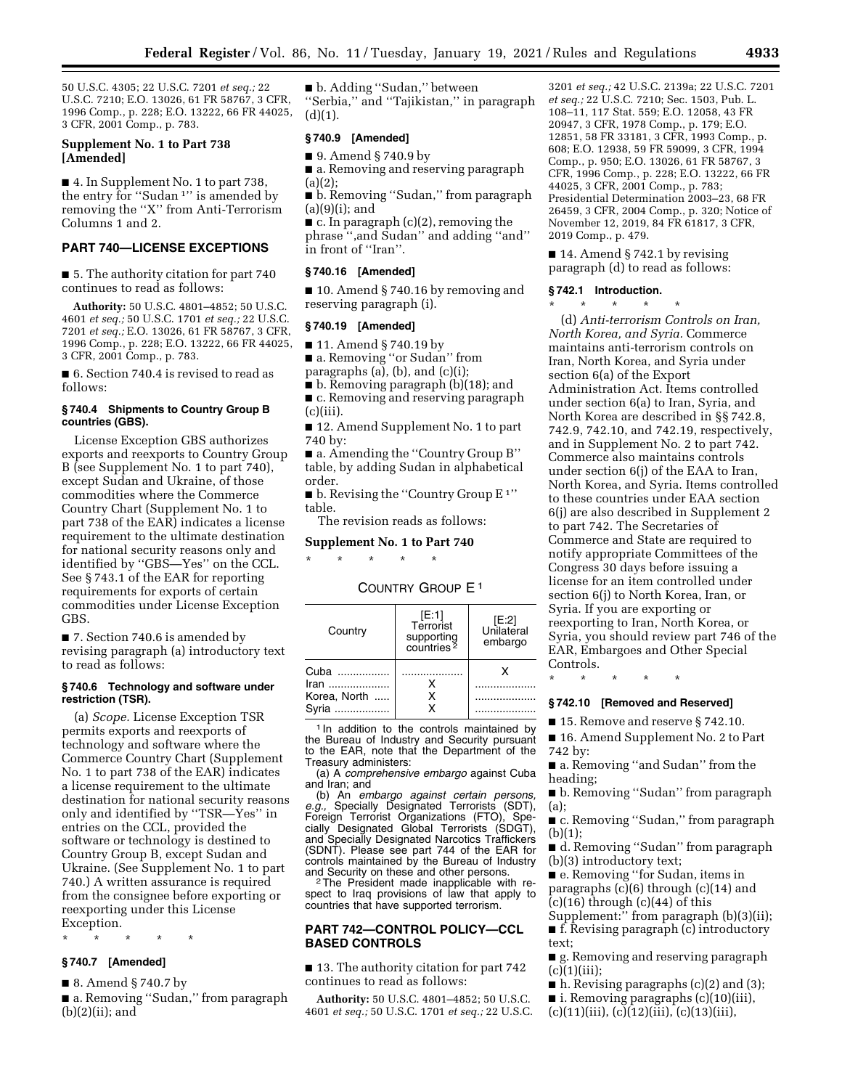50 U.S.C. 4305; 22 U.S.C. 7201 *et seq.;* 22 U.S.C. 7210; E.O. 13026, 61 FR 58767, 3 CFR, 1996 Comp., p. 228; E.O. 13222, 66 FR 44025, 3 CFR, 2001 Comp., p. 783.

### **Supplement No. 1 to Part 738 [Amended]**

■ 4. In Supplement No. 1 to part 738, the entry for "Sudan<sup>1"</sup> is amended by removing the ''X'' from Anti-Terrorism Columns 1 and 2.

### **PART 740—LICENSE EXCEPTIONS**

■ 5. The authority citation for part 740 continues to read as follows:

**Authority:** 50 U.S.C. 4801–4852; 50 U.S.C. 4601 *et seq.;* 50 U.S.C. 1701 *et seq.;* 22 U.S.C. 7201 *et seq.;* E.O. 13026, 61 FR 58767, 3 CFR, 1996 Comp., p. 228; E.O. 13222, 66 FR 44025, 3 CFR, 2001 Comp., p. 783.

■ 6. Section 740.4 is revised to read as follows:

#### **§ 740.4 Shipments to Country Group B countries (GBS).**

License Exception GBS authorizes exports and reexports to Country Group B (see Supplement No. 1 to part 740), except Sudan and Ukraine, of those commodities where the Commerce Country Chart (Supplement No. 1 to part 738 of the EAR) indicates a license requirement to the ultimate destination for national security reasons only and identified by ''GBS—Yes'' on the CCL. See § 743.1 of the EAR for reporting requirements for exports of certain commodities under License Exception GBS.

■ 7. Section 740.6 is amended by revising paragraph (a) introductory text to read as follows:

### **§ 740.6 Technology and software under restriction (TSR).**

(a) *Scope.* License Exception TSR permits exports and reexports of technology and software where the Commerce Country Chart (Supplement No. 1 to part 738 of the EAR) indicates a license requirement to the ultimate destination for national security reasons only and identified by ''TSR—Yes'' in entries on the CCL, provided the software or technology is destined to Country Group B, except Sudan and Ukraine. (See Supplement No. 1 to part 740.) A written assurance is required from the consignee before exporting or reexporting under this License Exception.

\* \* \* \* \*

## **§ 740.7 [Amended]**

■ 8. Amend § 740.7 by

■ a. Removing "Sudan," from paragraph  $(b)(2)(ii)$ ; and

■ b. Adding "Sudan," between ''Serbia,'' and ''Tajikistan,'' in paragraph  $(d)(1).$ 

### **§ 740.9 [Amended]**

■ 9. Amend § 740.9 by

■ a. Removing and reserving paragraph (a)(2);

■ b. Removing "Sudan," from paragraph (a)(9)(i); and

 $\blacksquare$  c. In paragraph (c)(2), removing the phrase '',and Sudan'' and adding ''and'' in front of ''Iran''.

#### **§ 740.16 [Amended]**

■ 10. Amend § 740.16 by removing and reserving paragraph (i).

### **§ 740.19 [Amended]**

■ 11. Amend § 740.19 by

■ a. Removing "or Sudan" from

paragraphs  $(a)$ ,  $(b)$ , and  $(c)(i)$ ;

■ b. Removing paragraph (b)(18); and

■ c. Removing and reserving paragraph (c)(iii).

■ 12. Amend Supplement No. 1 to part 740 by:

■ a. Amending the "Country Group B" table, by adding Sudan in alphabetical order.

 $\blacksquare$  b. Revising the "Country Group E<sup>1"</sup> table.

The revision reads as follows:

**Supplement No. 1 to Part 740** 

\* \* \* \* \*

## COUNTRY GROUP E 1

| Country      | [E:1]<br>Terrorist<br>supporting<br>countries <sup>2</sup> | $[E:2]$<br>Unilateral<br>embargo |
|--------------|------------------------------------------------------------|----------------------------------|
| Cuba<br>Iran |                                                            | x                                |
| Korea, North | х                                                          |                                  |
| Svria        |                                                            |                                  |

<sup>1</sup> In addition to the controls maintained by the Bureau of Industry and Security pursuant to the EAR, note that the Department of the Treasury administers:

(a) A *comprehensive embargo* against Cuba and Iran; and

(b) An *embargo against certain persons, e.g.,* Specially Designated Terrorists (SDT), Foreign Terrorist Organizations (FTO), Specially Designated Global Terrorists (SDGT), and Specially Designated Narcotics Traffickers (SDNT). Please see part 744 of the EAR for controls maintained by the Bureau of Industry

<sup>2</sup>The President made inapplicable with respect to Iraq provisions of law that apply to countries that have supported terrorism.

## **PART 742—CONTROL POLICY—CCL BASED CONTROLS**

■ 13. The authority citation for part 742 continues to read as follows:

**Authority:** 50 U.S.C. 4801–4852; 50 U.S.C. 4601 *et seq.;* 50 U.S.C. 1701 *et seq.;* 22 U.S.C.

3201 *et seq.;* 42 U.S.C. 2139a; 22 U.S.C. 7201 *et seq.;* 22 U.S.C. 7210; Sec. 1503, Pub. L. 108–11, 117 Stat. 559; E.O. 12058, 43 FR 20947, 3 CFR, 1978 Comp., p. 179; E.O. 12851, 58 FR 33181, 3 CFR, 1993 Comp., p. 608; E.O. 12938, 59 FR 59099, 3 CFR, 1994 Comp., p. 950; E.O. 13026, 61 FR 58767, 3 CFR, 1996 Comp., p. 228; E.O. 13222, 66 FR 44025, 3 CFR, 2001 Comp., p. 783; Presidential Determination 2003–23, 68 FR 26459, 3 CFR, 2004 Comp., p. 320; Notice of November 12, 2019, 84 FR 61817, 3 CFR, 2019 Comp., p. 479.

■ 14. Amend § 742.1 by revising paragraph (d) to read as follows:

#### **§ 742.1 Introduction.**

\* \* \* \* \*

(d) *Anti-terrorism Controls on Iran, North Korea, and Syria.* Commerce maintains anti-terrorism controls on Iran, North Korea, and Syria under section 6(a) of the Export Administration Act. Items controlled under section 6(a) to Iran, Syria, and North Korea are described in §§ 742.8, 742.9, 742.10, and 742.19, respectively, and in Supplement No. 2 to part 742. Commerce also maintains controls under section 6(j) of the EAA to Iran, North Korea, and Syria. Items controlled to these countries under EAA section 6(j) are also described in Supplement 2 to part 742. The Secretaries of Commerce and State are required to notify appropriate Committees of the Congress 30 days before issuing a license for an item controlled under section 6(j) to North Korea, Iran, or Syria. If you are exporting or reexporting to Iran, North Korea, or Syria, you should review part 746 of the EAR, Embargoes and Other Special Controls.

\* \* \* \* \*

### **§ 742.10 [Removed and Reserved]**

■ 15. Remove and reserve § 742.10. ■ 16. Amend Supplement No. 2 to Part

742 by:

■ a. Removing "and Sudan" from the heading;

■ b. Removing "Sudan" from paragraph (a);

■ c. Removing "Sudan," from paragraph  $(b)(1);$ 

■ d. Removing ''Sudan'' from paragraph (b)(3) introductory text;

■ e. Removing "for Sudan, items in paragraphs (c)(6) through (c)(14) and  $(c)(16)$  through  $(c)(44)$  of this

Supplement:'' from paragraph (b)(3)(ii); ■ f. Revising paragraph (c) introductory text;

■ g. Removing and reserving paragraph  $(c)(1)(iii);$ 

- h. Revising paragraphs (c)(2) and (3);
- i. Removing paragraphs (c)(10)(iii),
- $(c)(11)(iii), (c)(12)(iii), (c)(13)(iii),$
-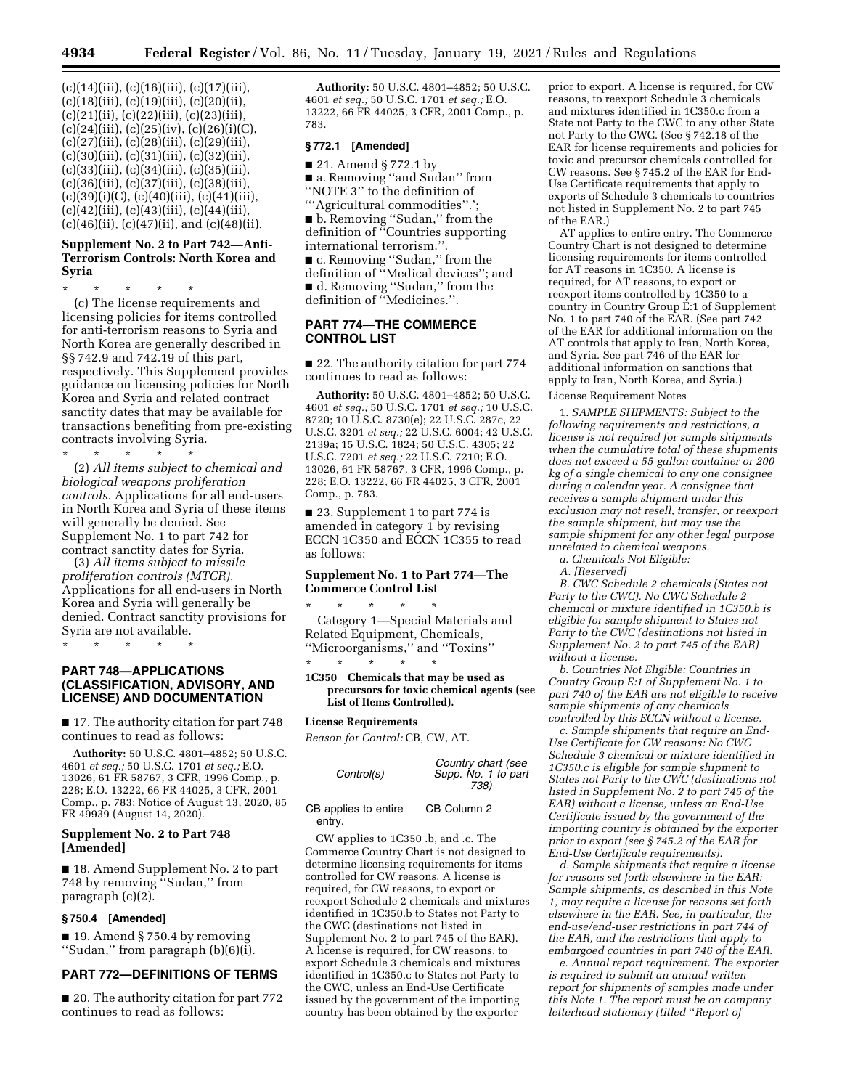$(c)(14)(iii), (c)(16)(iii), (c)(17)(iii),$ (c)(18)(iii), (c)(19)(iii), (c)(20)(ii), (c)(21)(ii), (c)(22)(iii), (c)(23)(iii),  $(c)(24)(iii)$ ,  $(c)(25)(iv)$ ,  $(c)(26)(i)(C)$ , (c)(27)(iii), (c)(28)(iii), (c)(29)(iii), (c)(30)(iii), (c)(31)(iii), (c)(32)(iii), (c)(33)(iii), (c)(34)(iii), (c)(35)(iii), (c)(36)(iii), (c)(37)(iii), (c)(38)(iii),  $(c)(39)(i)(C), (c)(40)(iii), (c)(41)(iii),$  $(c)(42)(iii), (c)(43)(iii), (c)(44)(iii),$  $(c)(46)(ii)$ ,  $(c)(47)(ii)$ , and  $(c)(48)(ii)$ .

### **Supplement No. 2 to Part 742—Anti-Terrorism Controls: North Korea and Syria**

\* \* \* \* \* (c) The license requirements and licensing policies for items controlled for anti-terrorism reasons to Syria and North Korea are generally described in §§ 742.9 and 742.19 of this part, respectively. This Supplement provides guidance on licensing policies for North Korea and Syria and related contract sanctity dates that may be available for transactions benefiting from pre-existing contracts involving Syria.

\* \* \* \* \* (2) *All items subject to chemical and biological weapons proliferation controls.* Applications for all end-users in North Korea and Syria of these items will generally be denied. See Supplement No. 1 to part 742 for contract sanctity dates for Syria.

(3) *All items subject to missile proliferation controls (MTCR).*  Applications for all end-users in North Korea and Syria will generally be denied. Contract sanctity provisions for Syria are not available.

\* \* \* \* \*

### **PART 748—APPLICATIONS (CLASSIFICATION, ADVISORY, AND LICENSE) AND DOCUMENTATION**

■ 17. The authority citation for part 748 continues to read as follows:

**Authority:** 50 U.S.C. 4801–4852; 50 U.S.C. 4601 *et seq.;* 50 U.S.C. 1701 *et seq.;* E.O. 13026, 61 FR 58767, 3 CFR, 1996 Comp., p. 228; E.O. 13222, 66 FR 44025, 3 CFR, 2001 Comp., p. 783; Notice of August 13, 2020, 85 FR 49939 (August 14, 2020).

### **Supplement No. 2 to Part 748 [Amended]**

■ 18. Amend Supplement No. 2 to part 748 by removing ''Sudan,'' from paragraph (c)(2).

#### **§ 750.4 [Amended]**

■ 19. Amend § 750.4 by removing ''Sudan,'' from paragraph (b)(6)(i).

## **PART 772—DEFINITIONS OF TERMS**

■ 20. The authority citation for part 772 continues to read as follows:

**Authority:** 50 U.S.C. 4801–4852; 50 U.S.C. 4601 *et seq.;* 50 U.S.C. 1701 *et seq.;* E.O. 13222, 66 FR 44025, 3 CFR, 2001 Comp., p. 783.

### **§ 772.1 [Amended]**

■ 21. Amend § 772.1 by ■ a. Removing "and Sudan" from ''NOTE 3'' to the definition of '''Agricultural commodities''.';

■ b. Removing "Sudan," from the definition of ''Countries supporting international terrorism.''.

■ c. Removing ''Sudan,'' from the definition of ''Medical devices''; and ■ d. Removing "Sudan," from the definition of ''Medicines.''.

### **PART 774—THE COMMERCE CONTROL LIST**

■ 22. The authority citation for part 774 continues to read as follows:

**Authority:** 50 U.S.C. 4801–4852; 50 U.S.C. 4601 *et seq.;* 50 U.S.C. 1701 *et seq.;* 10 U.S.C. 8720; 10 U.S.C. 8730(e); 22 U.S.C. 287c, 22 U.S.C. 3201 *et seq.;* 22 U.S.C. 6004; 42 U.S.C. 2139a; 15 U.S.C. 1824; 50 U.S.C. 4305; 22 U.S.C. 7201 *et seq.;* 22 U.S.C. 7210; E.O. 13026, 61 FR 58767, 3 CFR, 1996 Comp., p. 228; E.O. 13222, 66 FR 44025, 3 CFR, 2001 Comp., p. 783.

■ 23. Supplement 1 to part 774 is amended in category 1 by revising ECCN 1C350 and ECCN 1C355 to read as follows:

## **Supplement No. 1 to Part 774—The Commerce Control List**

\* \* \* \* \* Category 1—Special Materials and Related Equipment, Chemicals, ''Microorganisms,'' and ''Toxins'' \* \* \* \* \*

#### **1C350 Chemicals that may be used as precursors for toxic chemical agents (see List of Items Controlled).**

#### **License Requirements**

*Reason for Control:* CB, CW, AT.

| Control(s)                     | Country chart (see<br>Supp. No. 1 to part<br>738) |
|--------------------------------|---------------------------------------------------|
| CB applies to entire<br>entry. | CB Column 2                                       |

CW applies to 1C350 .b, and .c. The Commerce Country Chart is not designed to determine licensing requirements for items controlled for CW reasons. A license is required, for CW reasons, to export or reexport Schedule 2 chemicals and mixtures identified in 1C350.b to States not Party to the CWC (destinations not listed in Supplement No. 2 to part 745 of the EAR). A license is required, for CW reasons, to export Schedule 3 chemicals and mixtures identified in 1C350.c to States not Party to the CWC, unless an End-Use Certificate issued by the government of the importing country has been obtained by the exporter

prior to export. A license is required, for CW reasons, to reexport Schedule 3 chemicals and mixtures identified in 1C350.c from a State not Party to the CWC to any other State not Party to the CWC. (See § 742.18 of the EAR for license requirements and policies for toxic and precursor chemicals controlled for CW reasons. See § 745.2 of the EAR for End-Use Certificate requirements that apply to exports of Schedule 3 chemicals to countries not listed in Supplement No. 2 to part 745 of the EAR.)

AT applies to entire entry. The Commerce Country Chart is not designed to determine licensing requirements for items controlled for AT reasons in 1C350. A license is required, for AT reasons, to export or reexport items controlled by 1C350 to a country in Country Group E:1 of Supplement No. 1 to part 740 of the EAR. (See part 742 of the EAR for additional information on the AT controls that apply to Iran, North Korea, and Syria. See part 746 of the EAR for additional information on sanctions that apply to Iran, North Korea, and Syria.)

License Requirement Notes

1. *SAMPLE SHIPMENTS: Subject to the following requirements and restrictions, a license is not required for sample shipments when the cumulative total of these shipments does not exceed a 55-gallon container or 200 kg of a single chemical to any one consignee during a calendar year. A consignee that receives a sample shipment under this exclusion may not resell, transfer, or reexport the sample shipment, but may use the sample shipment for any other legal purpose unrelated to chemical weapons.* 

*a. Chemicals Not Eligible:* 

*A. [Reserved]* 

*B. CWC Schedule 2 chemicals (States not Party to the CWC). No CWC Schedule 2 chemical or mixture identified in 1C350.b is eligible for sample shipment to States not Party to the CWC (destinations not listed in Supplement No. 2 to part 745 of the EAR) without a license.* 

*b. Countries Not Eligible: Countries in Country Group E:1 of Supplement No. 1 to part 740 of the EAR are not eligible to receive sample shipments of any chemicals controlled by this ECCN without a license.* 

*c. Sample shipments that require an End-Use Certificate for CW reasons: No CWC Schedule 3 chemical or mixture identified in 1C350.c is eligible for sample shipment to States not Party to the CWC (destinations not listed in Supplement No. 2 to part 745 of the EAR) without a license, unless an End-Use Certificate issued by the government of the importing country is obtained by the exporter prior to export (see § 745.2 of the EAR for End-Use Certificate requirements).* 

*d. Sample shipments that require a license for reasons set forth elsewhere in the EAR: Sample shipments, as described in this Note 1, may require a license for reasons set forth elsewhere in the EAR. See, in particular, the end-use/end-user restrictions in part 744 of the EAR, and the restrictions that apply to embargoed countries in part 746 of the EAR.* 

*e. Annual report requirement. The exporter is required to submit an annual written report for shipments of samples made under this Note 1. The report must be on company letterhead stationery (titled* ''*Report of*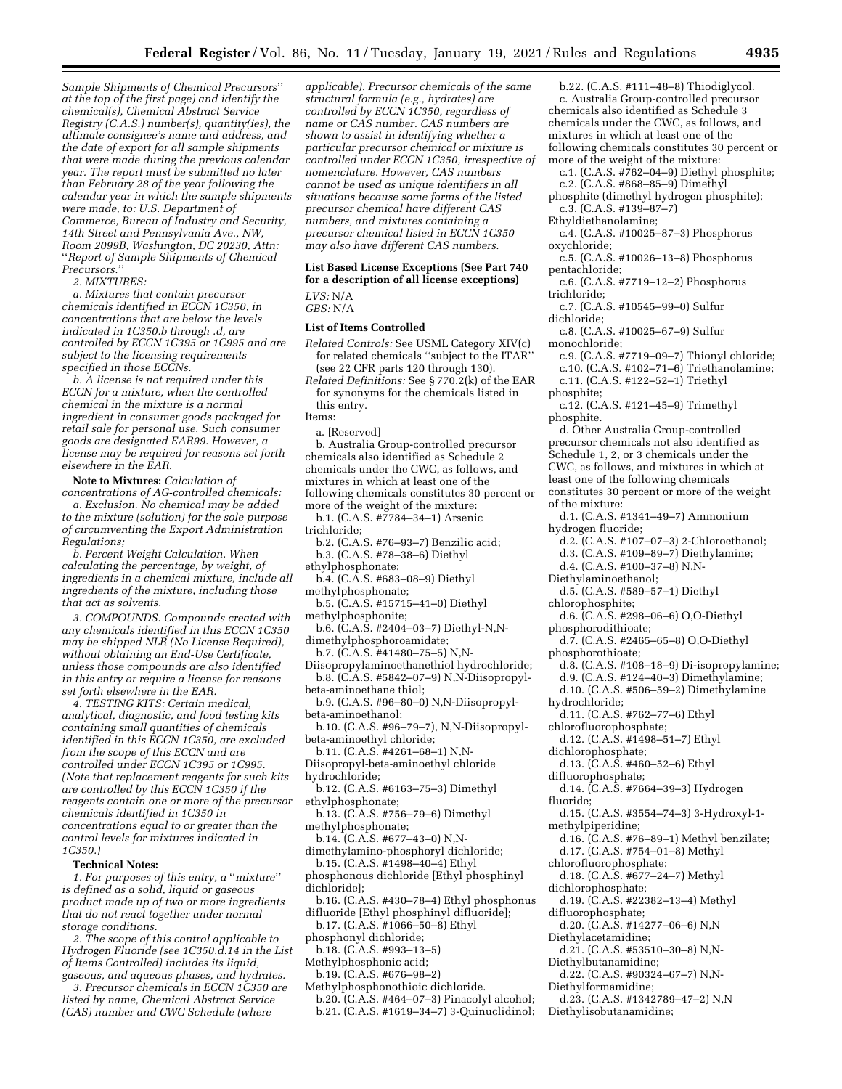*Sample Shipments of Chemical Precursors*'' *at the top of the first page) and identify the chemical(s), Chemical Abstract Service Registry (C.A.S.) number(s), quantity(ies), the ultimate consignee's name and address, and the date of export for all sample shipments that were made during the previous calendar year. The report must be submitted no later than February 28 of the year following the calendar year in which the sample shipments were made, to: U.S. Department of Commerce, Bureau of Industry and Security, 14th Street and Pennsylvania Ave., NW, Room 2099B, Washington, DC 20230, Attn:*  ''*Report of Sample Shipments of Chemical Precursors.*''

*2. MIXTURES:* 

*a. Mixtures that contain precursor chemicals identified in ECCN 1C350, in concentrations that are below the levels indicated in 1C350.b through .d, are controlled by ECCN 1C395 or 1C995 and are subject to the licensing requirements specified in those ECCNs.* 

*b. A license is not required under this ECCN for a mixture, when the controlled chemical in the mixture is a normal ingredient in consumer goods packaged for retail sale for personal use. Such consumer goods are designated EAR99. However, a license may be required for reasons set forth elsewhere in the EAR.* 

**Note to Mixtures:** *Calculation of concentrations of AG-controlled chemicals: a. Exclusion. No chemical may be added to the mixture (solution) for the sole purpose of circumventing the Export Administration Regulations;* 

*b. Percent Weight Calculation. When calculating the percentage, by weight, of ingredients in a chemical mixture, include all ingredients of the mixture, including those that act as solvents.* 

*3. COMPOUNDS. Compounds created with any chemicals identified in this ECCN 1C350 may be shipped NLR (No License Required), without obtaining an End-Use Certificate, unless those compounds are also identified in this entry or require a license for reasons set forth elsewhere in the EAR.* 

*4. TESTING KITS: Certain medical, analytical, diagnostic, and food testing kits containing small quantities of chemicals identified in this ECCN 1C350, are excluded from the scope of this ECCN and are controlled under ECCN 1C395 or 1C995. (Note that replacement reagents for such kits are controlled by this ECCN 1C350 if the reagents contain one or more of the precursor chemicals identified in 1C350 in concentrations equal to or greater than the control levels for mixtures indicated in 1C350.)* 

#### **Technical Notes:**

*1. For purposes of this entry, a* ''*mixture*'' *is defined as a solid, liquid or gaseous product made up of two or more ingredients that do not react together under normal storage conditions.* 

*2. The scope of this control applicable to Hydrogen Fluoride (see 1C350.d.14 in the List of Items Controlled) includes its liquid, gaseous, and aqueous phases, and hydrates.* 

*3. Precursor chemicals in ECCN 1C350 are listed by name, Chemical Abstract Service (CAS) number and CWC Schedule (where* 

*applicable). Precursor chemicals of the same structural formula (e.g., hydrates) are controlled by ECCN 1C350, regardless of name or CAS number. CAS numbers are shown to assist in identifying whether a particular precursor chemical or mixture is controlled under ECCN 1C350, irrespective of nomenclature. However, CAS numbers cannot be used as unique identifiers in all situations because some forms of the listed precursor chemical have different CAS numbers, and mixtures containing a precursor chemical listed in ECCN 1C350 may also have different CAS numbers.* 

### **List Based License Exceptions (See Part 740 for a description of all license exceptions)**  *LVS:* N/A

*GBS:* N/A

### **List of Items Controlled**

*Related Controls:* See USML Category XIV(c) for related chemicals ''subject to the ITAR'' (see 22 CFR parts 120 through 130).

*Related Definitions:* See § 770.2(k) of the EAR for synonyms for the chemicals listed in this entry. Items:

a. [Reserved]

b. Australia Group-controlled precursor

chemicals also identified as Schedule 2 chemicals under the CWC, as follows, and mixtures in which at least one of the following chemicals constitutes 30 percent or more of the weight of the mixture:

b.1. (C.A.S. #7784–34–1) Arsenic

- trichloride;
- b.2. (C.A.S. #76–93–7) Benzilic acid;
- b.3. (C.A.S. #78–38–6) Diethyl
- ethylphosphonate;
- b.4. (C.A.S. #683–08–9) Diethyl methylphosphonate;
- b.5. (C.A.S. #15715–41–0) Diethyl methylphosphonite;
- b.6. (C.A.S. #2404–03–7) Diethyl-N,Ndimethylphosphoroamidate;
- b.7. (C.A.S. #41480–75–5) N,N-
- Diisopropylaminoethanethiol hydrochloride; b.8. (C.A.S. #5842–07–9) N,N-Diisopropylbeta-aminoethane thiol;
- b.9. (C.A.S. #96–80–0) N,N-Diisopropylbeta-aminoethanol;
- b.10. (C.A.S. #96–79–7), N,N-Diisopropylbeta-aminoethyl chloride;

b.11. (C.A.S. #4261–68–1) N,N-

- Diisopropyl-beta-aminoethyl chloride hydrochloride;
- b.12. (C.A.S. #6163–75–3) Dimethyl ethylphosphonate;
- b.13. (C.A.S. #756–79–6) Dimethyl methylphosphonate;
- b.14. (C.A.S. #677–43–0) N,Ndimethylamino-phosphoryl dichloride;
- b.15. (C.A.S. #1498–40–4) Ethyl phosphonous dichloride [Ethyl phosphinyl dichloride];
- b.16. (C.A.S. #430–78–4) Ethyl phosphonus difluoride [Ethyl phosphinyl difluoride];
- b.17. (C.A.S. #1066–50–8) Ethyl phosphonyl dichloride;
- b.18. (C.A.S. #993–13–5)
- Methylphosphonic acid;
	- b.19. (C.A.S. #676–98–2)
- Methylphosphonothioic dichloride. b.20. (C.A.S. #464–07–3) Pinacolyl alcohol; b.21. (C.A.S. #1619–34–7) 3-Quinuclidinol;

b.22. (C.A.S. #111–48–8) Thiodiglycol. c. Australia Group-controlled precursor chemicals also identified as Schedule 3 chemicals under the CWC, as follows, and mixtures in which at least one of the following chemicals constitutes 30 percent or more of the weight of the mixture:

c.1. (C.A.S. #762–04–9) Diethyl phosphite; c.2. (C.A.S. #868–85–9) Dimethyl

phosphite (dimethyl hydrogen phosphite); c.3. (C.A.S. #139–87–7)

- Ethyldiethanolamine;
- c.4. (C.A.S. #10025–87–3) Phosphorus oxychloride;
- c.5. (C.A.S. #10026–13–8) Phosphorus pentachloride;
- c.6. (C.A.S. #7719–12–2) Phosphorus trichloride;
- c.7. (C.A.S. #10545–99–0) Sulfur dichloride;
- c.8. (C.A.S. #10025–67–9) Sulfur monochloride;
- c.9. (C.A.S. #7719–09–7) Thionyl chloride; c.10. (C.A.S. #102–71–6) Triethanolamine;
- c.11. (C.A.S. #122–52–1) Triethyl
- phosphite;
- c.12. (C.A.S. #121–45–9) Trimethyl phosphite.
- d. Other Australia Group-controlled precursor chemicals not also identified as Schedule 1, 2, or 3 chemicals under the CWC, as follows, and mixtures in which at
- least one of the following chemicals
- constitutes 30 percent or more of the weight of the mixture:
- d.1. (C.A.S. #1341–49–7) Ammonium hydrogen fluoride;
- d.2. (C.A.S. #107–07–3) 2-Chloroethanol;
- d.3. (C.A.S. #109–89–7) Diethylamine;
- d.4. (C.A.S. #100–37–8) N,N-
- Diethylaminoethanol;
- d.5. (C.A.S. #589–57–1) Diethyl
- chlorophosphite;
- d.6. (C.A.S. #298–06–6) O,O-Diethyl
- phosphorodithioate; d.7. (C.A.S. #2465–65–8) O,O-Diethyl
- phosphorothioate;
	- d.8. (C.A.S. #108–18–9) Di-isopropylamine;
	- d.9. (C.A.S. #124–40–3) Dimethylamine;
- d.10. (C.A.S. #506–59–2) Dimethylamine hydrochloride;
- d.11. (C.A.S. #762–77–6) Ethyl
- chlorofluorophosphate;
- d.12. (C.A.S. #1498–51–7) Ethyl
- dichlorophosphate;
- d.13. (C.A.S. #460–52–6) Ethyl difluorophosphate;
- d.14. (C.A.S. #7664–39–3) Hydrogen
- fluoride;
- d.15. (C.A.S. #3554–74–3) 3-Hydroxyl-1 methylpiperidine;
- d.16. (C.A.S. #76–89–1) Methyl benzilate;
- d.17. (C.A.S. #754–01–8) Methyl
- chlorofluorophosphate;
- d.18. (C.A.S. #677–24–7) Methyl dichlorophosphate;
- d.19. (C.A.S. #22382–13–4) Methyl difluorophosphate;
- d.20. (C.A.S. #14277–06–6) N,N
- Diethylacetamidine; d.21. (C.A.S. #53510–30–8) N,N-
- Diethylbutanamidine;
- d.22. (C.A.S. #90324–67–7) N,N-Diethylformamidine;
- d.23. (C.A.S. #1342789–47–2) N,N
- Diethylisobutanamidine;